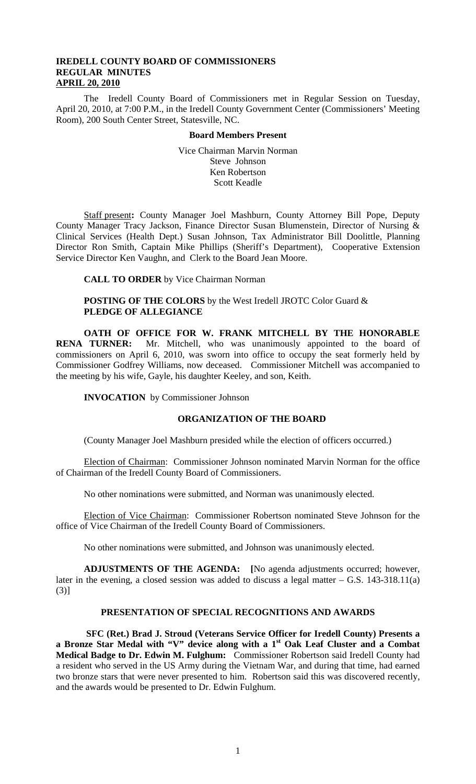# **IREDELL COUNTY BOARD OF COMMISSIONERS REGULAR MINUTES APRIL 20, 2010**

The Iredell County Board of Commissioners met in Regular Session on Tuesday, April 20, 2010, at 7:00 P.M., in the Iredell County Government Center (Commissioners' Meeting Room), 200 South Center Street, Statesville, NC.

### **Board Members Present**

Vice Chairman Marvin Norman Steve Johnson Ken Robertson Scott Keadle

Staff present**:** County Manager Joel Mashburn, County Attorney Bill Pope, Deputy County Manager Tracy Jackson, Finance Director Susan Blumenstein, Director of Nursing & Clinical Services (Health Dept.) Susan Johnson, Tax Administrator Bill Doolittle, Planning Director Ron Smith, Captain Mike Phillips (Sheriff's Department), Cooperative Extension Service Director Ken Vaughn, and Clerk to the Board Jean Moore.

**CALL TO ORDER** by Vice Chairman Norman

**POSTING OF THE COLORS** by the West Iredell JROTC Color Guard &  **PLEDGE OF ALLEGIANCE** 

**OATH OF OFFICE FOR W. FRANK MITCHELL BY THE HONORABLE RENA TURNER:** Mr. Mitchell, who was unanimously appointed to the board of commissioners on April 6, 2010, was sworn into office to occupy the seat formerly held by Commissioner Godfrey Williams, now deceased. Commissioner Mitchell was accompanied to the meeting by his wife, Gayle, his daughter Keeley, and son, Keith.

**INVOCATION** by Commissioner Johnson

# **ORGANIZATION OF THE BOARD**

(County Manager Joel Mashburn presided while the election of officers occurred.)

Election of Chairman: Commissioner Johnson nominated Marvin Norman for the office of Chairman of the Iredell County Board of Commissioners.

No other nominations were submitted, and Norman was unanimously elected.

Election of Vice Chairman: Commissioner Robertson nominated Steve Johnson for the office of Vice Chairman of the Iredell County Board of Commissioners.

No other nominations were submitted, and Johnson was unanimously elected.

**ADJUSTMENTS OF THE AGENDA: [**No agenda adjustments occurred; however, later in the evening, a closed session was added to discuss a legal matter  $-$  G.S. 143-318.11(a) (3)]

# **PRESENTATION OF SPECIAL RECOGNITIONS AND AWARDS**

**SFC (Ret.) Brad J. Stroud (Veterans Service Officer for Iredell County) Presents a a Bronze Star Medal with "V" device along with a 1st Oak Leaf Cluster and a Combat Medical Badge to Dr. Edwin M. Fulghum:** Commissioner Robertson said Iredell County had a resident who served in the US Army during the Vietnam War, and during that time, had earned two bronze stars that were never presented to him. Robertson said this was discovered recently, and the awards would be presented to Dr. Edwin Fulghum.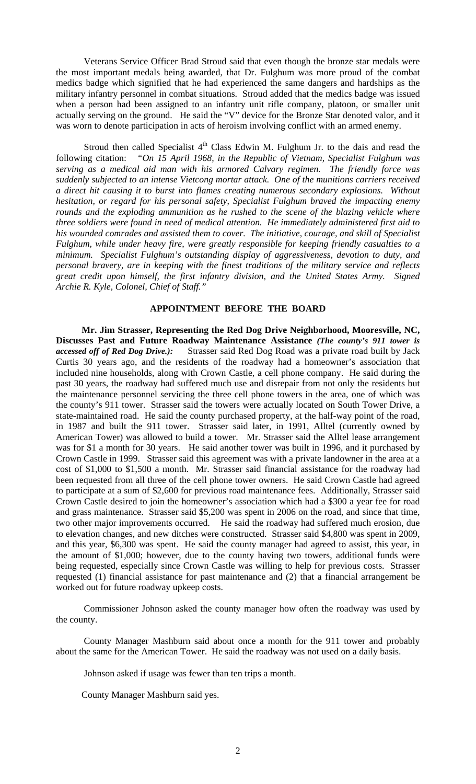Veterans Service Officer Brad Stroud said that even though the bronze star medals were the most important medals being awarded, that Dr. Fulghum was more proud of the combat medics badge which signified that he had experienced the same dangers and hardships as the military infantry personnel in combat situations. Stroud added that the medics badge was issued when a person had been assigned to an infantry unit rifle company, platoon, or smaller unit actually serving on the ground. He said the "V" device for the Bronze Star denoted valor, and it was worn to denote participation in acts of heroism involving conflict with an armed enemy.

Stroud then called Specialist  $4<sup>th</sup>$  Class Edwin M. Fulghum Jr. to the dais and read the following citation: *"On 15 April 1968, in the Republic of Vietnam, Specialist Fulghum was serving as a medical aid man with his armored Calvary regimen. The friendly force was suddenly subjected to an intense Vietcong mortar attack. One of the munitions carriers received a direct hit causing it to burst into flames creating numerous secondary explosions. Without hesitation, or regard for his personal safety, Specialist Fulghum braved the impacting enemy rounds and the exploding ammunition as he rushed to the scene of the blazing vehicle where three soldiers were found in need of medical attention. He immediately administered first aid to his wounded comrades and assisted them to cover. The initiative, courage, and skill of Specialist Fulghum, while under heavy fire, were greatly responsible for keeping friendly casualties to a minimum. Specialist Fulghum's outstanding display of aggressiveness, devotion to duty, and personal bravery, are in keeping with the finest traditions of the military service and reflects great credit upon himself, the first infantry division, and the United States Army. Signed Archie R. Kyle, Colonel, Chief of Staff."* 

# **APPOINTMENT BEFORE THE BOARD**

 **Mr. Jim Strasser, Representing the Red Dog Drive Neighborhood, Mooresville, NC, Discusses Past and Future Roadway Maintenance Assistance** *(The county's 911 tower is accessed off of Red Dog Drive.):* Strasser said Red Dog Road was a private road built by Jack Curtis 30 years ago, and the residents of the roadway had a homeowner's association that included nine households, along with Crown Castle, a cell phone company. He said during the past 30 years, the roadway had suffered much use and disrepair from not only the residents but the maintenance personnel servicing the three cell phone towers in the area, one of which was the county's 911 tower. Strasser said the towers were actually located on South Tower Drive, a state-maintained road. He said the county purchased property, at the half-way point of the road, in 1987 and built the 911 tower. Strasser said later, in 1991, Alltel (currently owned by American Tower) was allowed to build a tower. Mr. Strasser said the Alltel lease arrangement was for \$1 a month for 30 years. He said another tower was built in 1996, and it purchased by Crown Castle in 1999. Strasser said this agreement was with a private landowner in the area at a cost of \$1,000 to \$1,500 a month. Mr. Strasser said financial assistance for the roadway had been requested from all three of the cell phone tower owners. He said Crown Castle had agreed to participate at a sum of \$2,600 for previous road maintenance fees. Additionally, Strasser said Crown Castle desired to join the homeowner's association which had a \$300 a year fee for road and grass maintenance. Strasser said \$5,200 was spent in 2006 on the road, and since that time, two other major improvements occurred. He said the roadway had suffered much erosion, due to elevation changes, and new ditches were constructed. Strasser said \$4,800 was spent in 2009, and this year, \$6,300 was spent. He said the county manager had agreed to assist, this year, in the amount of \$1,000; however, due to the county having two towers, additional funds were being requested, especially since Crown Castle was willing to help for previous costs. Strasser requested (1) financial assistance for past maintenance and (2) that a financial arrangement be worked out for future roadway upkeep costs.

 Commissioner Johnson asked the county manager how often the roadway was used by the county.

 County Manager Mashburn said about once a month for the 911 tower and probably about the same for the American Tower. He said the roadway was not used on a daily basis.

Johnson asked if usage was fewer than ten trips a month.

County Manager Mashburn said yes.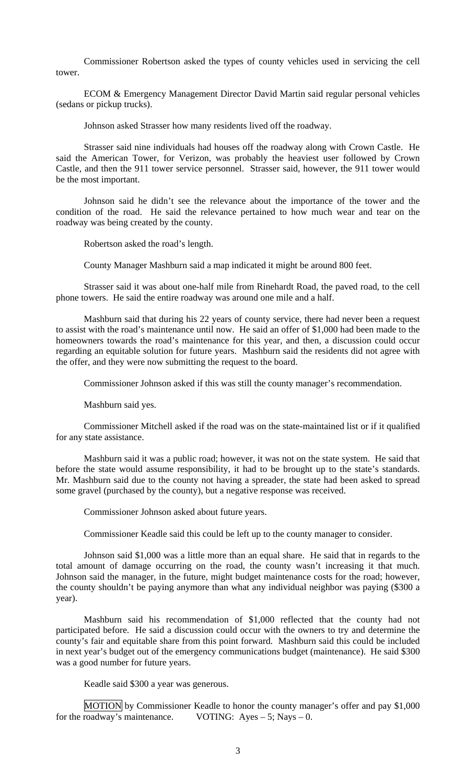Commissioner Robertson asked the types of county vehicles used in servicing the cell tower.

 ECOM & Emergency Management Director David Martin said regular personal vehicles (sedans or pickup trucks).

Johnson asked Strasser how many residents lived off the roadway.

 Strasser said nine individuals had houses off the roadway along with Crown Castle. He said the American Tower, for Verizon, was probably the heaviest user followed by Crown Castle, and then the 911 tower service personnel. Strasser said, however, the 911 tower would be the most important.

 Johnson said he didn't see the relevance about the importance of the tower and the condition of the road. He said the relevance pertained to how much wear and tear on the roadway was being created by the county.

Robertson asked the road's length.

County Manager Mashburn said a map indicated it might be around 800 feet.

 Strasser said it was about one-half mile from Rinehardt Road, the paved road, to the cell phone towers. He said the entire roadway was around one mile and a half.

 Mashburn said that during his 22 years of county service, there had never been a request to assist with the road's maintenance until now. He said an offer of \$1,000 had been made to the homeowners towards the road's maintenance for this year, and then, a discussion could occur regarding an equitable solution for future years. Mashburn said the residents did not agree with the offer, and they were now submitting the request to the board.

Commissioner Johnson asked if this was still the county manager's recommendation.

Mashburn said yes.

 Commissioner Mitchell asked if the road was on the state-maintained list or if it qualified for any state assistance.

 Mashburn said it was a public road; however, it was not on the state system. He said that before the state would assume responsibility, it had to be brought up to the state's standards. Mr. Mashburn said due to the county not having a spreader, the state had been asked to spread some gravel (purchased by the county), but a negative response was received.

Commissioner Johnson asked about future years.

Commissioner Keadle said this could be left up to the county manager to consider.

 Johnson said \$1,000 was a little more than an equal share. He said that in regards to the total amount of damage occurring on the road, the county wasn't increasing it that much. Johnson said the manager, in the future, might budget maintenance costs for the road; however, the county shouldn't be paying anymore than what any individual neighbor was paying (\$300 a year).

 Mashburn said his recommendation of \$1,000 reflected that the county had not participated before. He said a discussion could occur with the owners to try and determine the county's fair and equitable share from this point forward. Mashburn said this could be included in next year's budget out of the emergency communications budget (maintenance). He said \$300 was a good number for future years.

Keadle said \$300 a year was generous.

MOTION by Commissioner Keadle to honor the county manager's offer and pay \$1,000 for the roadway's maintenance. VOTING: Ayes  $-5$ ; Nays  $-0$ .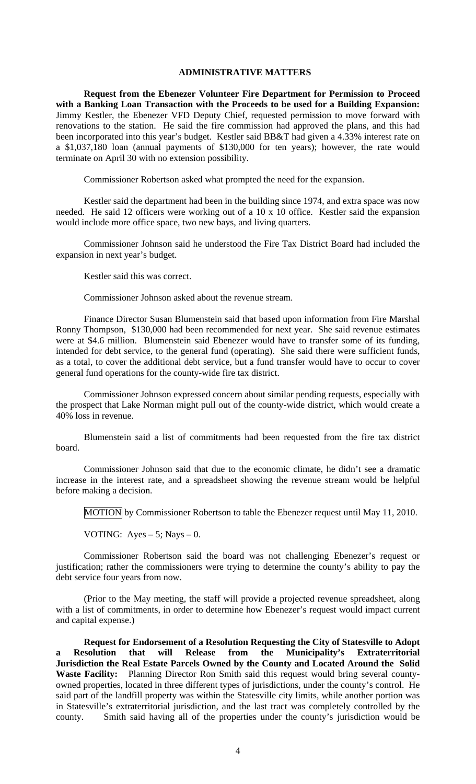## **ADMINISTRATIVE MATTERS**

**Request from the Ebenezer Volunteer Fire Department for Permission to Proceed with a Banking Loan Transaction with the Proceeds to be used for a Building Expansion:**  Jimmy Kestler, the Ebenezer VFD Deputy Chief, requested permission to move forward with renovations to the station. He said the fire commission had approved the plans, and this had been incorporated into this year's budget. Kestler said BB&T had given a 4.33% interest rate on a \$1,037,180 loan (annual payments of \$130,000 for ten years); however, the rate would terminate on April 30 with no extension possibility.

Commissioner Robertson asked what prompted the need for the expansion.

Kestler said the department had been in the building since 1974, and extra space was now needed. He said 12 officers were working out of a 10 x 10 office. Kestler said the expansion would include more office space, two new bays, and living quarters.

Commissioner Johnson said he understood the Fire Tax District Board had included the expansion in next year's budget.

Kestler said this was correct.

Commissioner Johnson asked about the revenue stream.

Finance Director Susan Blumenstein said that based upon information from Fire Marshal Ronny Thompson, \$130,000 had been recommended for next year. She said revenue estimates were at \$4.6 million. Blumenstein said Ebenezer would have to transfer some of its funding, intended for debt service, to the general fund (operating). She said there were sufficient funds, as a total, to cover the additional debt service, but a fund transfer would have to occur to cover general fund operations for the county-wide fire tax district.

Commissioner Johnson expressed concern about similar pending requests, especially with the prospect that Lake Norman might pull out of the county-wide district, which would create a 40% loss in revenue.

Blumenstein said a list of commitments had been requested from the fire tax district board.

Commissioner Johnson said that due to the economic climate, he didn't see a dramatic increase in the interest rate, and a spreadsheet showing the revenue stream would be helpful before making a decision.

MOTION by Commissioner Robertson to table the Ebenezer request until May 11, 2010.

VOTING: Ayes  $-5$ ; Nays  $-0$ .

Commissioner Robertson said the board was not challenging Ebenezer's request or justification; rather the commissioners were trying to determine the county's ability to pay the debt service four years from now.

(Prior to the May meeting, the staff will provide a projected revenue spreadsheet, along with a list of commitments, in order to determine how Ebenezer's request would impact current and capital expense.)

**Request for Endorsement of a Resolution Requesting the City of Statesville to Adopt a Resolution that will Release from the Municipality's Extraterritorial Jurisdiction the Real Estate Parcels Owned by the County and Located Around the Solid Waste Facility:** Planning Director Ron Smith said this request would bring several countyowned properties, located in three different types of jurisdictions, under the county's control. He said part of the landfill property was within the Statesville city limits, while another portion was in Statesville's extraterritorial jurisdiction, and the last tract was completely controlled by the county. Smith said having all of the properties under the county's jurisdiction would be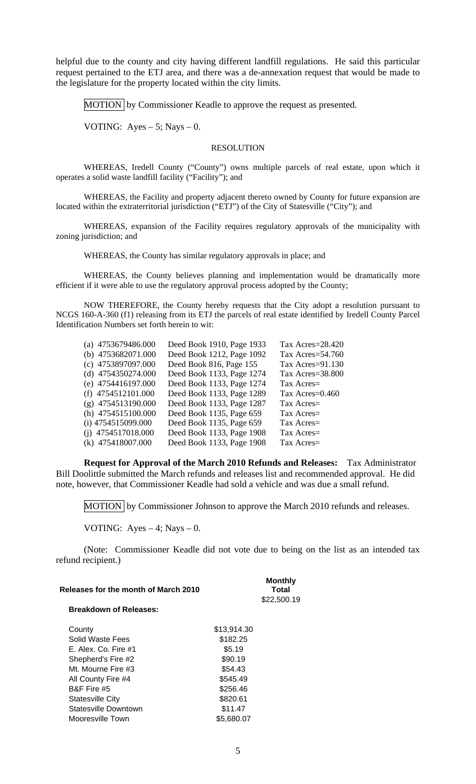helpful due to the county and city having different landfill regulations. He said this particular request pertained to the ETJ area, and there was a de-annexation request that would be made to the legislature for the property located within the city limits.

MOTION by Commissioner Keadle to approve the request as presented.

VOTING: Ayes  $-5$ ; Nays  $-0$ .

### RESOLUTION

 WHEREAS, Iredell County ("County") owns multiple parcels of real estate, upon which it operates a solid waste landfill facility ("Facility"); and

 WHEREAS, the Facility and property adjacent thereto owned by County for future expansion are located within the extraterritorial jurisdiction ("ETJ") of the City of Statesville ("City"); and

 WHEREAS, expansion of the Facility requires regulatory approvals of the municipality with zoning jurisdiction; and

WHEREAS, the County has similar regulatory approvals in place; and

 WHEREAS, the County believes planning and implementation would be dramatically more efficient if it were able to use the regulatory approval process adopted by the County;

 NOW THEREFORE, the County hereby requests that the City adopt a resolution pursuant to NCGS 160-A-360 (f1) releasing from its ETJ the parcels of real estate identified by Iredell County Parcel Identification Numbers set forth herein to wit:

| (a) $4753679486.000$ | Deed Book 1910, Page 1933 | Tax Acres=28.420 |
|----------------------|---------------------------|------------------|
| (b) 4753682071.000   | Deed Book 1212, Page 1092 | Tax Acres=54.760 |
| $(c)$ 4753897097.000 | Deed Book 816, Page 155   | Tax Acres=91.130 |
| (d) $4754350274.000$ | Deed Book 1133, Page 1274 | Tax Acres=38.800 |
| (e) $4754416197.000$ | Deed Book 1133, Page 1274 | Tax Acres=       |
| $(f)$ 4754512101.000 | Deed Book 1133, Page 1289 | Tax Acres=0.460  |
| $(g)$ 4754513190.000 | Deed Book 1133, Page 1287 | Tax Acres=       |
| (h) $4754515100.000$ | Deed Book 1135, Page 659  | Tax Acres=       |
| $(i)$ 4754515099.000 | Deed Book 1135, Page 659  | Tax Acres=       |
| (i) $4754517018.000$ | Deed Book 1133, Page 1908 | Tax Acres=       |
| (k) 475418007.000    | Deed Book 1133, Page 1908 | Tax Acres=       |

**Request for Approval of the March 2010 Refunds and Releases:** Tax Administrator Bill Doolittle submitted the March refunds and releases list and recommended approval. He did note, however, that Commissioner Keadle had sold a vehicle and was due a small refund.

MOTION by Commissioner Johnson to approve the March 2010 refunds and releases.

VOTING: Ayes  $-4$ ; Nays  $-0$ .

 (Note: Commissioner Keadle did not vote due to being on the list as an intended tax refund recipient.)

|  |  | Releases for the month of March 2010 |
|--|--|--------------------------------------|
|  |  |                                      |

**Total**  \$22,500.19

**Monthly** 

#### **Breakdown of Releases:**

| County                      | \$13,914.30 |
|-----------------------------|-------------|
| Solid Waste Fees            | \$182.25    |
| E. Alex. Co. Fire #1        | \$5.19      |
| Shepherd's Fire #2          | \$90.19     |
| Mt. Mourne Fire #3          | \$54.43     |
| All County Fire #4          | \$545.49    |
| B&F Fire #5                 | \$256.46    |
| <b>Statesville City</b>     | \$820.61    |
| <b>Statesville Downtown</b> | \$11.47     |
| Mooresville Town            | \$5,680.07  |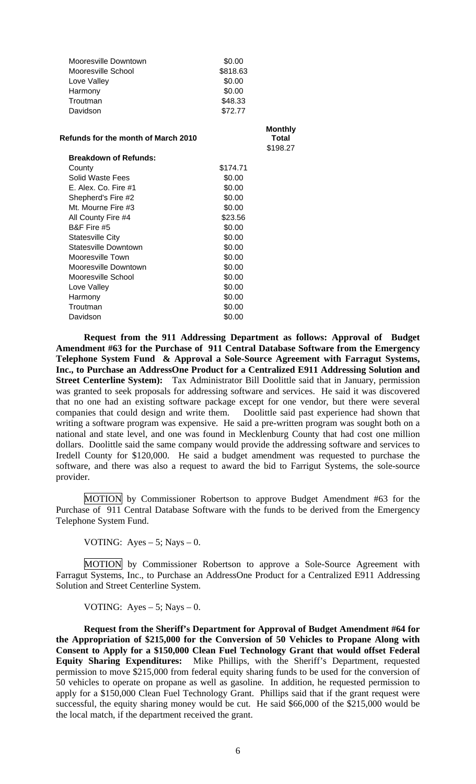| Mooresville Downtown                | \$0.00   |                         |
|-------------------------------------|----------|-------------------------|
| Mooresville School                  | \$818.63 |                         |
| Love Valley                         | \$0.00   |                         |
| Harmony                             | \$0.00   |                         |
| Troutman                            | \$48.33  |                         |
| Davidson                            | \$72.77  |                         |
| Refunds for the month of March 2010 |          | <b>Monthly</b><br>Total |
|                                     |          | \$198.27                |
| <b>Breakdown of Refunds:</b>        |          |                         |
| County                              | \$174.71 |                         |
| Solid Waste Fees                    | \$0.00   |                         |
| E. Alex. Co. Fire #1                | \$0.00   |                         |
| Shepherd's Fire #2                  | \$0.00   |                         |
| Mt. Mourne Fire #3                  | \$0.00   |                         |
| All County Fire #4                  | \$23.56  |                         |
| B&F Fire #5                         | \$0.00   |                         |
| <b>Statesville City</b>             | \$0.00   |                         |
| Statesville Downtown                | \$0.00   |                         |
| Mooresville Town                    | \$0.00   |                         |
| Mooresville Downtown                | \$0.00   |                         |
| Mooresville School                  | \$0.00   |                         |
| Love Valley                         | \$0.00   |                         |
| Harmony                             | \$0.00   |                         |
| Troutman                            | \$0.00   |                         |
| Davidson                            | \$0.00   |                         |

**Request from the 911 Addressing Department as follows: Approval of Budget Amendment #63 for the Purchase of 911 Central Database Software from the Emergency Telephone System Fund & Approval a Sole-Source Agreement with Farragut Systems, Inc., to Purchase an AddressOne Product for a Centralized E911 Addressing Solution and Street Centerline System):** Tax Administrator Bill Doolittle said that in January, permission was granted to seek proposals for addressing software and services. He said it was discovered that no one had an existing software package except for one vendor, but there were several companies that could design and write them. Doolittle said past experience had shown that writing a software program was expensive. He said a pre-written program was sought both on a national and state level, and one was found in Mecklenburg County that had cost one million dollars. Doolittle said the same company would provide the addressing software and services to Iredell County for \$120,000. He said a budget amendment was requested to purchase the software, and there was also a request to award the bid to Farrigut Systems, the sole-source provider.

MOTION by Commissioner Robertson to approve Budget Amendment #63 for the Purchase of 911 Central Database Software with the funds to be derived from the Emergency Telephone System Fund.

VOTING: Ayes  $-5$ ; Nays  $-0$ .

MOTION by Commissioner Robertson to approve a Sole-Source Agreement with Farragut Systems, Inc., to Purchase an AddressOne Product for a Centralized E911 Addressing Solution and Street Centerline System.

VOTING: Ayes  $-5$ ; Nays  $-0$ .

 **Request from the Sheriff's Department for Approval of Budget Amendment #64 for the Appropriation of \$215,000 for the Conversion of 50 Vehicles to Propane Along with Consent to Apply for a \$150,000 Clean Fuel Technology Grant that would offset Federal Equity Sharing Expenditures:** Mike Phillips, with the Sheriff's Department, requested permission to move \$215,000 from federal equity sharing funds to be used for the conversion of 50 vehicles to operate on propane as well as gasoline. In addition, he requested permission to apply for a \$150,000 Clean Fuel Technology Grant. Phillips said that if the grant request were successful, the equity sharing money would be cut. He said \$66,000 of the \$215,000 would be the local match, if the department received the grant.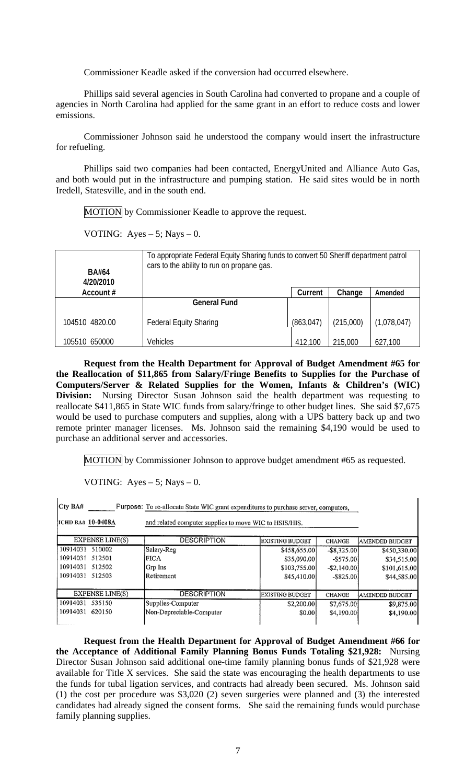Commissioner Keadle asked if the conversion had occurred elsewhere.

 Phillips said several agencies in South Carolina had converted to propane and a couple of agencies in North Carolina had applied for the same grant in an effort to reduce costs and lower emissions.

 Commissioner Johnson said he understood the company would insert the infrastructure for refueling.

 Phillips said two companies had been contacted, EnergyUnited and Alliance Auto Gas, and both would put in the infrastructure and pumping station. He said sites would be in north Iredell, Statesville, and in the south end.

MOTION by Commissioner Keadle to approve the request.

VOTING: Ayes  $-5$ ; Nays  $-0$ .

| <b>BA#64</b><br>4/20/2010 | To appropriate Federal Equity Sharing funds to convert 50 Sheriff department patrol<br>cars to the ability to run on propane gas. |            |           |             |
|---------------------------|-----------------------------------------------------------------------------------------------------------------------------------|------------|-----------|-------------|
| Account #                 |                                                                                                                                   | Current    | Change    | Amended     |
|                           | <b>General Fund</b>                                                                                                               |            |           |             |
| 104510 4820.00            | <b>Federal Equity Sharing</b>                                                                                                     | (863, 047) | (215,000) | (1,078,047) |
| 105510 650000             | <b>Vehicles</b>                                                                                                                   | 412,100    | 215,000   | 627,100     |

 **Request from the Health Department for Approval of Budget Amendment #65 for the Reallocation of \$11,865 from Salary/Fringe Benefits to Supplies for the Purchase of Computers/Server & Related Supplies for the Women, Infants & Children's (WIC) Division:** Nursing Director Susan Johnson said the health department was requesting to reallocate \$411,865 in State WIC funds from salary/fringe to other budget lines. She said \$7,675 would be used to purchase computers and supplies, along with a UPS battery back up and two remote printer manager licenses. Ms. Johnson said the remaining \$4,190 would be used to purchase an additional server and accessories.

MOTION by Commissioner Johnson to approve budget amendment #65 as requested.

VOTING: Ayes  $-5$ ; Nays  $-0$ .

| $C$ ty BA#<br>Purpose: To re-allocate State WIC grant expenditures to purchase server, computers, |                          |                        |                |                       |
|---------------------------------------------------------------------------------------------------|--------------------------|------------------------|----------------|-----------------------|
| <b>IICHD BA# 10-0408A</b><br>and related computer supplies to move WIC to HSIS/HIS.               |                          |                        |                |                       |
| EXPENSE LINE(S)                                                                                   | <b>DESCRIPTION</b>       | EXISTING BUDGET        | CHANGE         | <b>AMENDED BUDGET</b> |
| 10914031 510002                                                                                   | Salary-Reg               | \$458,655.00           | $-$ \$8,325.00 | \$450,330.00          |
| 10914031 512501                                                                                   | FICA                     | \$35,090.00            | $-$ \$575.00   | \$34,515.00           |
| 10914031 512502                                                                                   | Grp Ins                  | \$103,755.00           | $-$ \$2,140.00 | \$101,615.00          |
| 10914031 512503                                                                                   | Retirement               | \$45,410.00            | $-$ \$825.00   | \$44,585.00           |
| EXPENSE LINE(S)                                                                                   | <b>DESCRIPTION</b>       | <b>EXISTING BUDGET</b> | CHANGE         | AMENDED BUDGET        |
| 10914031<br>535150                                                                                | Supplies-Computer        | \$2,200.00             | \$7,675.00     | \$9,875.00            |
| 10914031<br>620150                                                                                | Non-Depreciable-Computer | \$0.00                 | \$4,190.00     | \$4,190.00            |

**Request from the Health Department for Approval of Budget Amendment #66 for the Acceptance of Additional Family Planning Bonus Funds Totaling \$21,928:** Nursing Director Susan Johnson said additional one-time family planning bonus funds of \$21,928 were available for Title X services. She said the state was encouraging the health departments to use the funds for tubal ligation services, and contracts had already been secured. Ms. Johnson said (1) the cost per procedure was \$3,020 (2) seven surgeries were planned and (3) the interested candidates had already signed the consent forms. She said the remaining funds would purchase family planning supplies.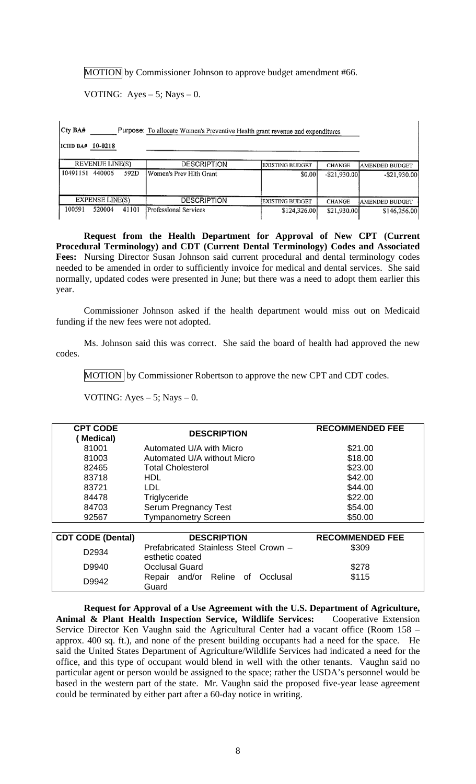MOTION by Commissioner Johnson to approve budget amendment #66.

VOTING: Ayes  $-5$ ; Nays  $-0$ .

Cty BA# \_\_\_\_\_\_\_\_\_\_\_ Purpose: To allocate Women's Preventive Health grant revenue and expenditures

ICHD BA# 10-0218

|          | <b>REVENUE LINE(S)</b> |       | <b>DESCRIPTION</b>      | <b>EXISTING BUDGET</b> | <b>CHANGE</b>   | AMENDED BUDGET        |
|----------|------------------------|-------|-------------------------|------------------------|-----------------|-----------------------|
| 10491151 | 440006                 | 592D  | Women's Prev Hith Grant | \$0.00                 | $-$ \$21,930,00 | $-$ \$21,930.00       |
|          | <b>EXPENSE LINE(S)</b> |       | <b>DESCRIPTION</b>      | <b>EXISTING BUDGET</b> | <b>CHANGE</b>   | <b>AMENDED BUDGET</b> |
| 100591   | 520004                 | 41101 | Professional Services   | \$124,326.00           | \$21,930.00     | \$146,256.00          |

**Request from the Health Department for Approval of New CPT (Current Procedural Terminology) and CDT (Current Dental Terminology) Codes and Associated Fees:** Nursing Director Susan Johnson said current procedural and dental terminology codes needed to be amended in order to sufficiently invoice for medical and dental services. She said normally, updated codes were presented in June; but there was a need to adopt them earlier this year.

Commissioner Johnson asked if the health department would miss out on Medicaid funding if the new fees were not adopted.

Ms. Johnson said this was correct. She said the board of health had approved the new codes.

 $MOTION$  by Commissioner Robertson to approve the new CPT and CDT codes.

VOTING: Ayes  $-5$ ; Nays  $-0$ .

| <b>CPT CODE</b><br><b>Medical</b> ) | <b>DESCRIPTION</b>                                       | <b>RECOMMENDED FEE</b> |
|-------------------------------------|----------------------------------------------------------|------------------------|
| 81001                               | Automated U/A with Micro                                 | \$21.00                |
| 81003                               | Automated U/A without Micro                              | \$18.00                |
| 82465                               | <b>Total Cholesterol</b>                                 | \$23.00                |
| 83718                               | HDL.                                                     | \$42.00                |
| 83721                               | <b>LDL</b>                                               | \$44.00                |
| 84478                               | Triglyceride                                             | \$22.00                |
| 84703                               | <b>Serum Pregnancy Test</b>                              | \$54.00                |
| 92567                               | <b>Tympanometry Screen</b>                               | \$50.00                |
|                                     |                                                          |                        |
| <b>CDT CODE (Dental)</b>            | <b>DESCRIPTION</b>                                       | <b>RECOMMENDED FEE</b> |
| D2934                               | Prefabricated Stainless Steel Crown -<br>esthetic coated | \$309                  |
| D9940                               | <b>Occlusal Guard</b>                                    | \$278                  |

**Request for Approval of a Use Agreement with the U.S. Department of Agriculture, Animal & Plant Health Inspection Service, Wildlife Services:** Cooperative Extension Service Director Ken Vaughn said the Agricultural Center had a vacant office (Room 158 – approx. 400 sq. ft.), and none of the present building occupants had a need for the space. He said the United States Department of Agriculture/Wildlife Services had indicated a need for the office, and this type of occupant would blend in well with the other tenants. Vaughn said no particular agent or person would be assigned to the space; rather the USDA's personnel would be based in the western part of the state. Mr. Vaughn said the proposed five-year lease agreement could be terminated by either part after a 60-day notice in writing.

\$115

D9942 Repair and/or Reline of Occlusal

Guard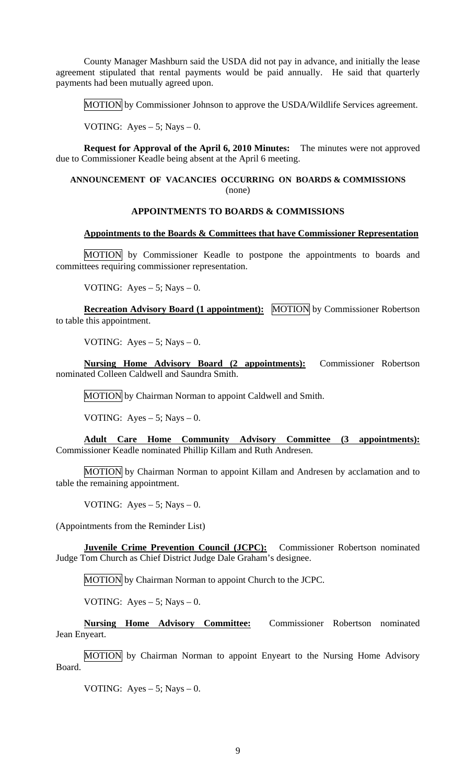County Manager Mashburn said the USDA did not pay in advance, and initially the lease agreement stipulated that rental payments would be paid annually. He said that quarterly payments had been mutually agreed upon.

MOTION by Commissioner Johnson to approve the USDA/Wildlife Services agreement.

VOTING: Ayes  $-5$ ; Nays  $-0$ .

**Request for Approval of the April 6, 2010 Minutes:** The minutes were not approved due to Commissioner Keadle being absent at the April 6 meeting.

# **ANNOUNCEMENT OF VACANCIES OCCURRING ON BOARDS & COMMISSIONS** (none)

# **APPOINTMENTS TO BOARDS & COMMISSIONS**

### **Appointments to the Boards & Committees that have Commissioner Representation**

 MOTION by Commissioner Keadle to postpone the appointments to boards and committees requiring commissioner representation.

VOTING: Ayes  $-5$ ; Nays  $-0$ .

**Recreation Advisory Board (1 appointment):** MOTION by Commissioner Robertson to table this appointment.

VOTING: Ayes  $-5$ ; Nays  $-0$ .

**Nursing Home Advisory Board (2 appointments):** Commissioner Robertson nominated Colleen Caldwell and Saundra Smith.

MOTION by Chairman Norman to appoint Caldwell and Smith.

VOTING: Ayes  $-5$ ; Nays  $-0$ .

**Adult Care Home Community Advisory Committee (3 appointments):**  Commissioner Keadle nominated Phillip Killam and Ruth Andresen.

MOTION by Chairman Norman to appoint Killam and Andresen by acclamation and to table the remaining appointment.

VOTING: Ayes  $-5$ ; Nays  $-0$ .

(Appointments from the Reminder List)

**Juvenile Crime Prevention Council (JCPC):** Commissioner Robertson nominated Judge Tom Church as Chief District Judge Dale Graham's designee.

MOTION by Chairman Norman to appoint Church to the JCPC.

VOTING: Ayes  $-5$ ; Nays  $-0$ .

**Nursing Home Advisory Committee:** Commissioner Robertson nominated Jean Enyeart.

MOTION by Chairman Norman to appoint Enyeart to the Nursing Home Advisory Board.

VOTING: Ayes  $-5$ ; Nays  $-0$ .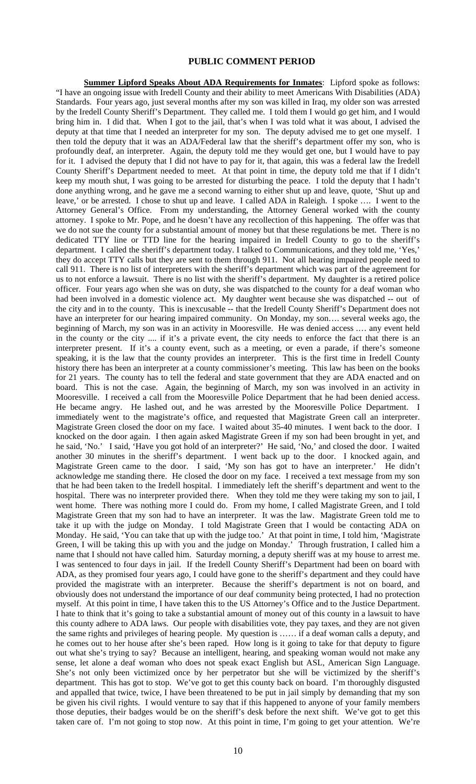### **PUBLIC COMMENT PERIOD**

**Summer Lipford Speaks About ADA Requirements for Inmates**: Lipford spoke as follows: "I have an ongoing issue with Iredell County and their ability to meet Americans With Disabilities (ADA) Standards. Four years ago, just several months after my son was killed in Iraq, my older son was arrested by the Iredell County Sheriff's Department. They called me. I told them I would go get him, and I would bring him in. I did that. When I got to the jail, that's when I was told what it was about, I advised the deputy at that time that I needed an interpreter for my son. The deputy advised me to get one myself. I then told the deputy that it was an ADA/Federal law that the sheriff's department offer my son, who is profoundly deaf, an interpreter. Again, the deputy told me they would get one, but I would have to pay for it. I advised the deputy that I did not have to pay for it, that again, this was a federal law the Iredell County Sheriff's Department needed to meet. At that point in time, the deputy told me that if I didn't keep my mouth shut, I was going to be arrested for disturbing the peace. I told the deputy that I hadn't done anything wrong, and he gave me a second warning to either shut up and leave, quote, 'Shut up and leave,' or be arrested. I chose to shut up and leave. I called ADA in Raleigh. I spoke …. I went to the Attorney General's Office. From my understanding, the Attorney General worked with the county attorney. I spoke to Mr. Pope, and he doesn't have any recollection of this happening. The offer was that we do not sue the county for a substantial amount of money but that these regulations be met. There is no dedicated TTY line or TTD line for the hearing impaired in Iredell County to go to the sheriff's department. I called the sheriff's department today. I talked to Communications, and they told me, 'Yes,' they do accept TTY calls but they are sent to them through 911. Not all hearing impaired people need to call 911. There is no list of interpreters with the sheriff's department which was part of the agreement for us to not enforce a lawsuit. There is no list with the sheriff's department. My daughter is a retired police officer. Four years ago when she was on duty, she was dispatched to the county for a deaf woman who had been involved in a domestic violence act. My daughter went because she was dispatched -- out of the city and in to the county. This is inexcusable -- that the Iredell County Sheriff's Department does not have an interpreter for our hearing impaired community. On Monday, my son.... several weeks ago, the beginning of March, my son was in an activity in Mooresville. He was denied access .… any event held in the county or the city .... if it's a private event, the city needs to enforce the fact that there is an interpreter present. If it's a county event, such as a meeting, or even a parade, if there's someone speaking, it is the law that the county provides an interpreter. This is the first time in Iredell County history there has been an interpreter at a county commissioner's meeting. This law has been on the books for 21 years. The county has to tell the federal and state government that they are ADA enacted and on board. This is not the case. Again, the beginning of March, my son was involved in an activity in Mooresville. I received a call from the Mooresville Police Department that he had been denied access. He became angry. He lashed out, and he was arrested by the Mooresville Police Department. I immediately went to the magistrate's office, and requested that Magistrate Green call an interpreter. Magistrate Green closed the door on my face. I waited about 35-40 minutes. I went back to the door. I knocked on the door again. I then again asked Magistrate Green if my son had been brought in yet, and he said, 'No.' I said, 'Have you got hold of an interpreter?' He said, 'No,' and closed the door. I waited another 30 minutes in the sheriff's department. I went back up to the door. I knocked again, and Magistrate Green came to the door. I said, 'My son has got to have an interpreter.' He didn't acknowledge me standing there. He closed the door on my face. I received a text message from my son that he had been taken to the Iredell hospital. I immediately left the sheriff's department and went to the hospital. There was no interpreter provided there. When they told me they were taking my son to jail, I went home. There was nothing more I could do. From my home, I called Magistrate Green, and I told Magistrate Green that my son had to have an interpreter. It was the law. Magistrate Green told me to take it up with the judge on Monday. I told Magistrate Green that I would be contacting ADA on Monday. He said, 'You can take that up with the judge too.' At that point in time, I told him, 'Magistrate Green, I will be taking this up with you and the judge on Monday.' Through frustration, I called him a name that I should not have called him. Saturday morning, a deputy sheriff was at my house to arrest me. I was sentenced to four days in jail. If the Iredell County Sheriff's Department had been on board with ADA, as they promised four years ago, I could have gone to the sheriff's department and they could have provided the magistrate with an interpreter. Because the sheriff's department is not on board, and obviously does not understand the importance of our deaf community being protected, I had no protection myself. At this point in time, I have taken this to the US Attorney's Office and to the Justice Department. I hate to think that it's going to take a substantial amount of money out of this county in a lawsuit to have this county adhere to ADA laws. Our people with disabilities vote, they pay taxes, and they are not given the same rights and privileges of hearing people. My question is …… if a deaf woman calls a deputy, and he comes out to her house after she's been raped. How long is it going to take for that deputy to figure out what she's trying to say? Because an intelligent, hearing, and speaking woman would not make any sense, let alone a deaf woman who does not speak exact English but ASL, American Sign Language. She's not only been victimized once by her perpetrator but she will be victimized by the sheriff's department. This has got to stop. We've got to get this county back on board. I'm thoroughly disgusted and appalled that twice, twice, I have been threatened to be put in jail simply by demanding that my son be given his civil rights. I would venture to say that if this happened to anyone of your family members those deputies, their badges would be on the sheriff's desk before the next shift. We've got to get this taken care of. I'm not going to stop now. At this point in time, I'm going to get your attention. We're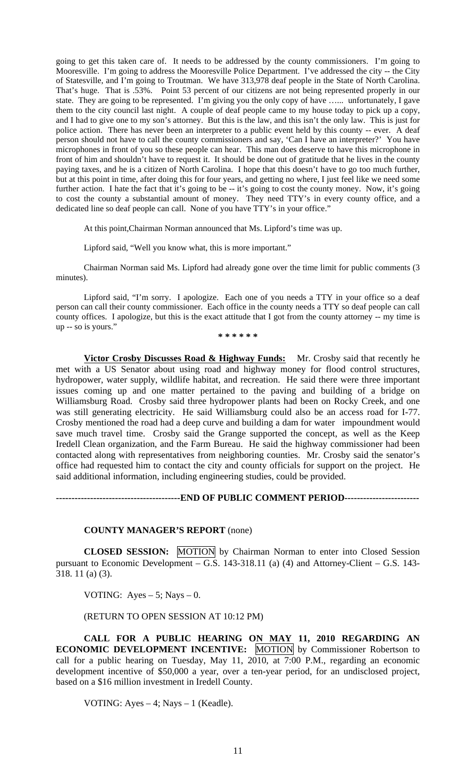going to get this taken care of. It needs to be addressed by the county commissioners. I'm going to Mooresville. I'm going to address the Mooresville Police Department. I've addressed the city -- the City of Statesville, and I'm going to Troutman. We have 313,978 deaf people in the State of North Carolina. That's huge. That is .53%. Point 53 percent of our citizens are not being represented properly in our state. They are going to be represented. I'm giving you the only copy of have …... unfortunately, I gave them to the city council last night. A couple of deaf people came to my house today to pick up a copy, and I had to give one to my son's attorney. But this is the law, and this isn't the only law. This is just for police action. There has never been an interpreter to a public event held by this county -- ever. A deaf person should not have to call the county commissioners and say, 'Can I have an interpreter?' You have microphones in front of you so these people can hear. This man does deserve to have this microphone in front of him and shouldn't have to request it. It should be done out of gratitude that he lives in the county paying taxes, and he is a citizen of North Carolina. I hope that this doesn't have to go too much further, but at this point in time, after doing this for four years, and getting no where, I just feel like we need some further action. I hate the fact that it's going to be -- it's going to cost the county money. Now, it's going to cost the county a substantial amount of money. They need TTY's in every county office, and a dedicated line so deaf people can call. None of you have TTY's in your office."

At this point,Chairman Norman announced that Ms. Lipford's time was up.

Lipford said, "Well you know what, this is more important."

Chairman Norman said Ms. Lipford had already gone over the time limit for public comments (3 minutes).

Lipford said, "I'm sorry. I apologize. Each one of you needs a TTY in your office so a deaf person can call their county commissioner. Each office in the county needs a TTY so deaf people can call county offices. I apologize, but this is the exact attitude that I got from the county attorney -- my time is up -- so is yours."

**\* \* \* \* \* \*** 

**Victor Crosby Discusses Road & Highway Funds:** Mr. Crosby said that recently he met with a US Senator about using road and highway money for flood control structures, hydropower, water supply, wildlife habitat, and recreation. He said there were three important issues coming up and one matter pertained to the paving and building of a bridge on Williamsburg Road. Crosby said three hydropower plants had been on Rocky Creek, and one was still generating electricity. He said Williamsburg could also be an access road for I-77. Crosby mentioned the road had a deep curve and building a dam for water impoundment would save much travel time. Crosby said the Grange supported the concept, as well as the Keep Iredell Clean organization, and the Farm Bureau. He said the highway commissioner had been contacted along with representatives from neighboring counties. Mr. Crosby said the senator's office had requested him to contact the city and county officials for support on the project. He said additional information, including engineering studies, could be provided.

**----------------------------------------END OF PUBLIC COMMENT PERIOD------------------------** 

### **COUNTY MANAGER'S REPORT** (none)

 **CLOSED SESSION:** MOTION by Chairman Norman to enter into Closed Session pursuant to Economic Development – G.S. 143-318.11 (a) (4) and Attorney-Client – G.S. 143- 318. 11 (a) (3).

VOTING: Ayes  $-5$ ; Nays  $-0$ .

(RETURN TO OPEN SESSION AT 10:12 PM)

**CALL FOR A PUBLIC HEARING ON MAY 11, 2010 REGARDING AN ECONOMIC DEVELOPMENT INCENTIVE:** MOTION by Commissioner Robertson to call for a public hearing on Tuesday, May 11, 2010, at 7:00 P.M., regarding an economic development incentive of \$50,000 a year, over a ten-year period, for an undisclosed project, based on a \$16 million investment in Iredell County.

VOTING: Ayes  $-4$ ; Nays  $-1$  (Keadle).